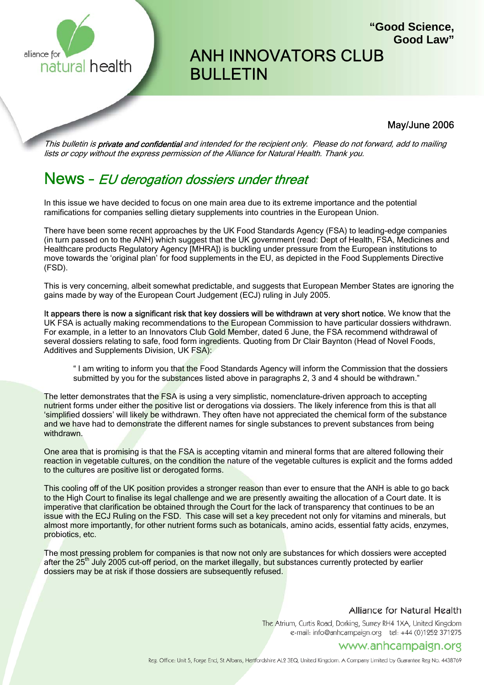

# ANH INNOVATORS CLUB BULLETIN

#### May/June 2006

**"Good Science,**

**Good Law"**

This bulletin is **private and confidential** and intended for the recipient only. Please do not forward, add to mailing lists or copy without the express permission of the Alliance for Natural Health. Thank you.

## News - EU derogation dossiers under threat

In this issue we have decided to focus on one main area due to its extreme importance and the potential ramifications for companies selling dietary supplements into countries in the European Union.

There have been some recent approaches by the UK Food Standards Agency (FSA) to leading-edge companies (in turn passed on to the ANH) which suggest that the UK government (read: Dept of Health, FSA, Medicines and Healthcare products Regulatory Agency [MHRA]) is buckling under pressure from the European institutions to move towards the 'original plan' for food supplements in the EU, as depicted in the Food Supplements Directive (FSD).

This is very concerning, albeit somewhat predictable, and suggests that European Member States are ignoring the gains made by way of the European Court Judgement (ECJ) ruling in July 2005.

It appears there is now a significant risk that key dossiers will be withdrawn at very short notice. We know that the UK FSA is actually making recommendations to the European Commission to have particular dossiers withdrawn. For example, in a letter to an Innovators Club Gold Member, dated 6 June, the FSA recommend withdrawal of several dossiers relating to safe, food form ingredients. Quoting from Dr Clair Baynton (Head of Novel Foods, Additives and Supplements Division, UK FSA):

" I am writing to inform you that the Food Standards Agency will inform the Commission that the dossiers submitted by you for the substances listed above in paragraphs 2, 3 and 4 should be withdrawn."

The letter demonstrates that the FSA is using a very simplistic, nomenclature-driven approach to accepting nutrient forms under either the positive list or derogations via dossiers. The likely inference from this is that all 'simplified dossiers' will likely be withdrawn. They often have not appreciated the chemical form of the substance and we have had to demonstrate the different names for single substances to prevent substances from being withdrawn.

One area that is promising is that the FSA is accepting vitamin and mineral forms that are altered following their reaction in vegetable cultures, on the condition the nature of the vegetable cultures is explicit and the forms added to the cultures are positive list or derogated forms.

This cooling off of the UK position provides a stronger reason than ever to ensure that the ANH is able to go back to the High Court to finalise its legal challenge and we are presently awaiting the allocation of a Court date. It is imperative that clarification be obtained through the Court for the lack of transparency that continues to be an issue with the ECJ Ruling on the FSD. This case will set a key precedent not only for vitamins and minerals, but almost more importantly, for other nutrient forms such as botanicals, amino acids, essential fatty acids, enzymes, probiotics, etc.

The most pressing problem for companies is that now not only are substances for which dossiers were accepted after the 25<sup>th</sup> July 2005 cut-off period, on the market illegally, but substances currently protected by earlier dossiers may be at risk if those dossiers are subsequently refused.

#### Alliance for Natural Health

The Atrium, Curtis Road, Dorking, Surrey RH4 1XA, United Kingdom e-mail: info@anhcampaign.org tel: +44 (0)1252 371275

## www.anhcampaign.org

Reg. Office: Unit 5, Forge End, St Albans, Hertfordshire AL2 3EQ, United Kingdom. A Company Limited by Guarantee Reg No. 4438769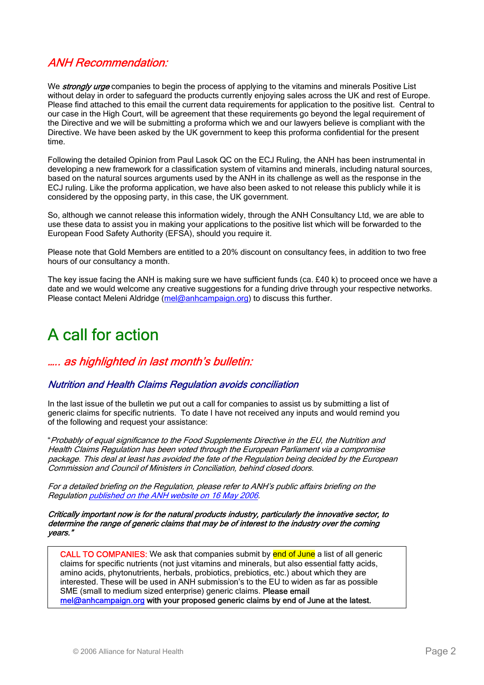## ANH Recommendation:

We **strongly urge** companies to begin the process of applying to the vitamins and minerals Positive List without delay in order to safeguard the products currently enjoying sales across the UK and rest of Europe. Please find attached to this email the current data requirements for application to the positive list. Central to our case in the High Court, will be agreement that these requirements go beyond the legal requirement of the Directive and we will be submitting a proforma which we and our lawyers believe is compliant with the Directive. We have been asked by the UK government to keep this proforma confidential for the present time.

Following the detailed Opinion from Paul Lasok QC on the ECJ Ruling, the ANH has been instrumental in developing a new framework for a classification system of vitamins and minerals, including natural sources, based on the natural sources arguments used by the ANH in its challenge as well as the response in the ECJ ruling. Like the proforma application, we have also been asked to not release this publicly while it is considered by the opposing party, in this case, the UK government.

So, although we cannot release this information widely, through the ANH Consultancy Ltd, we are able to use these data to assist you in making your applications to the positive list which will be forwarded to the European Food Safety Authority (EFSA), should you require it.

Please note that Gold Members are entitled to a 20% discount on consultancy fees, in addition to two free hours of our consultancy a month.

The key issue facing the ANH is making sure we have sufficient funds (ca. £40 k) to proceed once we have a date and we would welcome any creative suggestions for a funding drive through your respective networks. Please contact Meleni Aldridge (mel@anhcampaign.org) to discuss this further.

## A call for action

## ….. as highlighted in last month's bulletin:

#### Nutrition and Health Claims Regulation avoids conciliation

In the last issue of the bulletin we put out a call for companies to assist us by submitting a list of generic claims for specific nutrients. To date I have not received any inputs and would remind you of the following and request your assistance:

"Probably of equal significance to the Food Supplements Directive in the EU, the Nutrition and Health Claims Regulation has been voted through the European Parliament via a compromise package. This deal at least has avoided the fate of the Regulation being decided by the European Commission and Council of Ministers in Conciliation, behind closed doors.

For a detailed briefing on the Regulation, please refer to ANH's public affairs briefing on the Regulation published on the ANH website on 16 May 2006.

Critically important now is for the natural products industry, particularly the innovative sector, to determine the range of generic claims that may be of interest to the industry over the coming years."

CALL TO COMPANIES: We ask that companies submit by end of June a list of all generic claims for specific nutrients (not just vitamins and minerals, but also essential fatty acids, amino acids, phytonutrients, herbals, probiotics, prebiotics, etc.) about which they are interested. These will be used in ANH submission's to the EU to widen as far as possible SME (small to medium sized enterprise) generic claims. Please email mel@anhcampaign.org with your proposed generic claims by end of June at the latest.